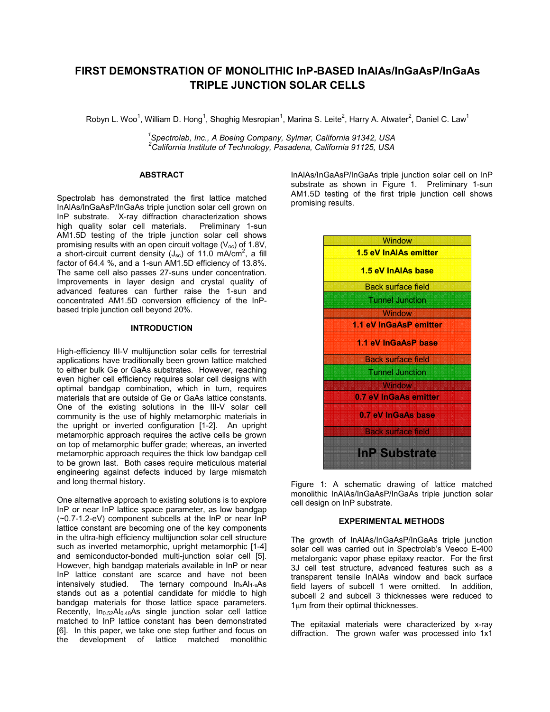# **FIRST DEMONSTRATION OF MONOLITHIC InP-BASED InAlAs/InGaAsP/InGaAs TRIPLE JUNCTION SOLAR CELLS**

Robyn L. Woo<sup>1</sup>, William D. Hong<sup>1</sup>, Shoghig Mesropian<sup>1</sup>, Marina S. Leite<sup>2</sup>, Harry A. Atwater<sup>2</sup>, Daniel C. Law<sup>1</sup>

*1 Spectrolab, Inc., A Boeing Company, Sylmar, California 91342, USA <sup>2</sup>California Institute of Technology, Pasadena, California 91125, USA* 

# **ABSTRACT**

Spectrolab has demonstrated the first lattice matched InAlAs/InGaAsP/InGaAs triple junction solar cell grown on InP substrate. X-ray diffraction characterization shows high quality solar cell materials. Preliminary 1-sun AM1.5D testing of the triple junction solar cell shows promising results with an open circuit voltage  $(V_{oc})$  of 1.8V, a short-circuit current density (J<sub>sc</sub>) of 11.0 mA/cm<sup>2</sup>, a fill factor of 64.4 %, and a 1-sun AM1.5D efficiency of 13.8%. The same cell also passes 27-suns under concentration. Improvements in layer design and crystal quality of advanced features can further raise the 1-sun and concentrated AM1.5D conversion efficiency of the InPbased triple junction cell beyond 20%.

## **INTRODUCTION**

High-efficiency III-V multijunction solar cells for terrestrial applications have traditionally been grown lattice matched to either bulk Ge or GaAs substrates. However, reaching even higher cell efficiency requires solar cell designs with optimal bandgap combination, which in turn, requires materials that are outside of Ge or GaAs lattice constants. One of the existing solutions in the III-V solar cell community is the use of highly metamorphic materials in the upright or inverted configuration [1-2]. An upright metamorphic approach requires the active cells be grown on top of metamorphic buffer grade; whereas, an inverted metamorphic approach requires the thick low bandgap cell to be grown last. Both cases require meticulous material engineering against defects induced by large mismatch and long thermal history.

One alternative approach to existing solutions is to explore InP or near InP lattice space parameter, as low bandgap (~0.7-1.2-eV) component subcells at the InP or near InP lattice constant are becoming one of the key components in the ultra-high efficiency multijunction solar cell structure such as inverted metamorphic, upright metamorphic [1-4] and semiconductor-bonded multi-junction solar cell [5]. However, high bandgap materials available in InP or near InP lattice constant are scarce and have not been intensively studied. The ternary compound  $In_xAl_{1-x}As$ stands out as a potential candidate for middle to high bandgap materials for those lattice space parameters. Recently,  $In<sub>0.52</sub>Al<sub>0.48</sub>As single junction solar cell lattice$ matched to InP lattice constant has been demonstrated [6]. In this paper, we take one step further and focus on the development of lattice matched monolithic

InAlAs/InGaAsP/InGaAs triple junction solar cell on InP substrate as shown in Figure 1. Preliminary 1-sun AM1.5D testing of the first triple junction cell shows promising results.



Figure 1: A schematic drawing of lattice matched monolithic InAlAs/InGaAsP/InGaAs triple junction solar cell design on InP substrate.

# **EXPERIMENTAL METHODS**

The growth of InAlAs/InGaAsP/InGaAs triple junction solar cell was carried out in Spectrolab's Veeco E-400 metalorganic vapor phase epitaxy reactor. For the first 3J cell test structure, advanced features such as a transparent tensile InAlAs window and back surface field layers of subcell 1 were omitted. In addition, subcell 2 and subcell 3 thicknesses were reduced to 1µm from their optimal thicknesses.

The epitaxial materials were characterized by x-ray diffraction. The grown wafer was processed into 1x1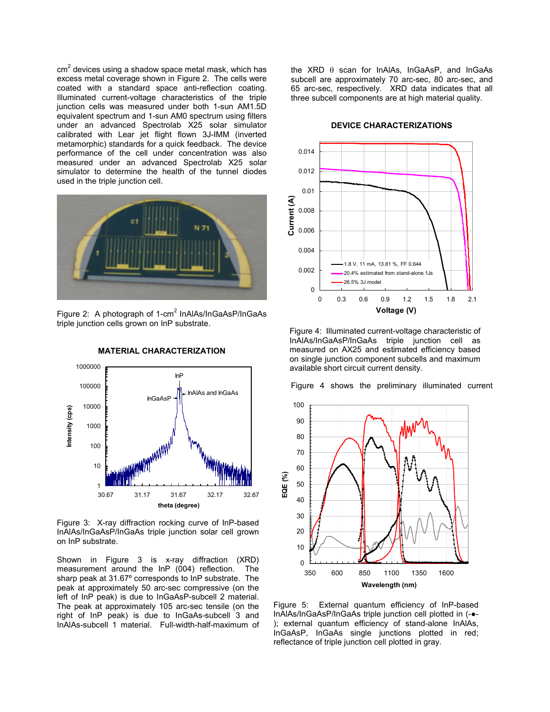cm<sup>2</sup> devices using a shadow space metal mask, which has excess metal coverage shown in Figure 2. The cells were coated with a standard space anti-reflection coating. Illuminated current-voltage characteristics of the triple junction cells was measured under both 1-sun AM1.5D equivalent spectrum and 1-sun AM0 spectrum using filters under an advanced Spectrolab X25 solar simulator calibrated with Lear jet flight flown 3J-IMM (inverted metamorphic) standards for a quick feedback. The device performance of the cell under concentration was also measured under an advanced Spectrolab X25 solar simulator to determine the health of the tunnel diodes used in the triple junction cell.



Figure 2: A photograph of 1-cm<sup>2</sup> InAIAs/InGaAsP/InGaAs triple junction cells grown on InP substrate.



**MATERIAL CHARACTERIZATION** 

Figure 3: X-ray diffraction rocking curve of InP-based InAlAs/InGaAsP/InGaAs triple junction solar cell grown on InP substrate.

Shown in Figure 3 is x-ray diffraction (XRD) measurement around the InP (004) reflection. The sharp peak at 31.67º corresponds to InP substrate. The peak at approximately 50 arc-sec compressive (on the left of InP peak) is due to InGaAsP-subcell 2 material. The peak at approximately 105 arc-sec tensile (on the right of InP peak) is due to InGaAs-subcell 3 and InAlAs-subcell 1 material. Full-width-half-maximum of the XRD θ scan for InAlAs, InGaAsP, and InGaAs subcell are approximately 70 arc-sec, 80 arc-sec, and 65 arc-sec, respectively. XRD data indicates that all three subcell components are at high material quality.

#### **DEVICE CHARACTERIZATIONS**



Figure 4: Illuminated current-voltage characteristic of InAlAs/InGaAsP/InGaAs triple junction cell as measured on AX25 and estimated efficiency based on single junction component subcells and maximum available short circuit current density.

Figure 4 shows the preliminary illuminated current



Figure 5: External quantum efficiency of InP-based InAlAs/InGaAsP/InGaAs triple junction cell plotted in (-●- ); external quantum efficiency of stand-alone InAlAs, InGaAsP, InGaAs single junctions plotted in red; reflectance of triple junction cell plotted in gray.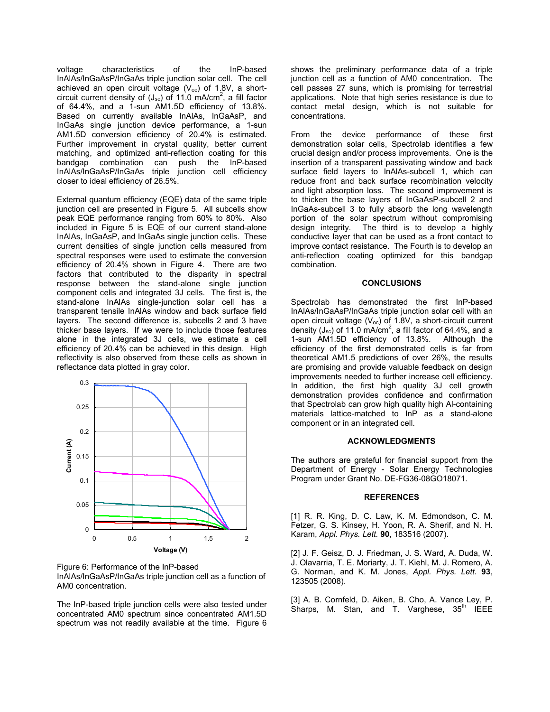voltage characteristics of the InP-based InAlAs/InGaAsP/InGaAs triple junction solar cell. The cell achieved an open circuit voltage ( $V_{\text{oc}}$ ) of 1.8V, a shortcircuit current density of  $(J_{\rm sc})$  of 11.0 mA/cm<sup>2</sup>, a fill factor of 64.4%, and a 1-sun AM1.5D efficiency of 13.8%. Based on currently available InAlAs, InGaAsP, and InGaAs single junction device performance, a 1-sun AM1.5D conversion efficiency of 20.4% is estimated. Further improvement in crystal quality, better current matching, and optimized anti-reflection coating for this bandgap combination can push the InP-based InAlAs/InGaAsP/InGaAs triple junction cell efficiency closer to ideal efficiency of 26.5%.

External quantum efficiency (EQE) data of the same triple junction cell are presented in Figure 5. All subcells show peak EQE performance ranging from 60% to 80%. Also included in Figure 5 is EQE of our current stand-alone InAlAs, InGaAsP, and InGaAs single junction cells. These current densities of single junction cells measured from spectral responses were used to estimate the conversion efficiency of 20.4% shown in Figure 4. There are two factors that contributed to the disparity in spectral response between the stand-alone single junction component cells and integrated 3J cells. The first is, the stand-alone InAlAs single-junction solar cell has a transparent tensile InAlAs window and back surface field layers. The second difference is, subcells 2 and 3 have thicker base layers. If we were to include those features alone in the integrated 3J cells, we estimate a cell efficiency of 20.4% can be achieved in this design. High reflectivity is also observed from these cells as shown in reflectance data plotted in gray color.



Figure 6: Performance of the InP-based InAlAs/InGaAsP/InGaAs triple junction cell as a function of AM0 concentration.

The InP-based triple junction cells were also tested under concentrated AM0 spectrum since concentrated AM1.5D spectrum was not readily available at the time. Figure 6

shows the preliminary performance data of a triple junction cell as a function of AM0 concentration. The cell passes 27 suns, which is promising for terrestrial applications. Note that high series resistance is due to contact metal design, which is not suitable for concentrations.

From the device performance of these first demonstration solar cells, Spectrolab identifies a few crucial design and/or process improvements. One is the insertion of a transparent passivating window and back surface field layers to InAlAs-subcell 1, which can reduce front and back surface recombination velocity and light absorption loss. The second improvement is to thicken the base layers of InGaAsP-subcell 2 and InGaAs-subcell 3 to fully absorb the long wavelength portion of the solar spectrum without compromising design integrity. The third is to develop a highly conductive layer that can be used as a front contact to improve contact resistance. The Fourth is to develop an anti-reflection coating optimized for this bandgap combination.

## **CONCLUSIONS**

Spectrolab has demonstrated the first InP-based InAlAs/InGaAsP/InGaAs triple junction solar cell with an open circuit voltage  $(V_{\text{oc}})$  of 1.8V, a short-circuit current density (J<sub>sc</sub>) of 11.0 mA/cm<sup>2</sup>, a fill factor of 64.4%, and a 1-sun AM1.5D efficiency of 13.8%. Although the efficiency of the first demonstrated cells is far from theoretical AM1.5 predictions of over 26%, the results are promising and provide valuable feedback on design improvements needed to further increase cell efficiency. In addition, the first high quality 3J cell growth demonstration provides confidence and confirmation that Spectrolab can grow high quality high Al-containing materials lattice-matched to InP as a stand-alone component or in an integrated cell.

## **ACKNOWLEDGMENTS**

The authors are grateful for financial support from the Department of Energy - Solar Energy Technologies Program under Grant No. DE-FG36-08GO18071.

## **REFERENCES**

[1] R. R. King, D. C. Law, K. M. Edmondson, C. M. Fetzer, G. S. Kinsey, H. Yoon, R. A. Sherif, and N. H. Karam, *Appl. Phys. Lett.* **90**, 183516 (2007).

[2] J. F. Geisz, D. J. Friedman, J. S. Ward, A. Duda, W. J. Olavarria, T. E. Moriarty, J. T. Kiehl, M. J. Romero, A. G. Norman, and K. M. Jones, *Appl. Phys. Lett.* **93**, 123505 (2008).

[3] A. B. Cornfeld, D. Aiken, B. Cho, A. Vance Ley, P. Sharps, M. Stan, and T. Varghese,  $35<sup>th</sup>$  IEEE